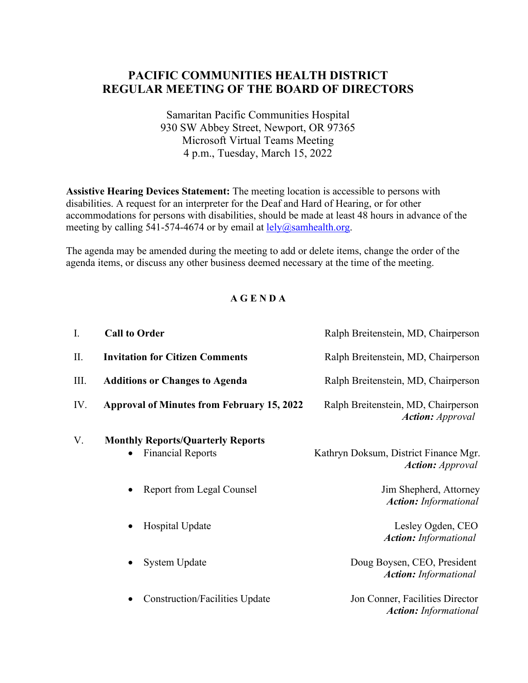## **PACIFIC COMMUNITIES HEALTH DISTRICT REGULAR MEETING OF THE BOARD OF DIRECTORS**

Samaritan Pacific Communities Hospital 930 SW Abbey Street, Newport, OR 97365 Microsoft Virtual Teams Meeting 4 p.m., Tuesday, March 15, 2022

**Assistive Hearing Devices Statement:** The meeting location is accessible to persons with disabilities. A request for an interpreter for the Deaf and Hard of Hearing, or for other accommodations for persons with disabilities, should be made at least 48 hours in advance of the meeting by calling 541-574-4674 or by email at  $\text{lely}(a)$ samhealth.org.

The agenda may be amended during the meeting to add or delete items, change the order of the agenda items, or discuss any other business deemed necessary at the time of the meeting.

## **A G E N D A**

| I.  | <b>Call to Order</b>                                                 | Ralph Breitenstein, MD, Chairperson                              |
|-----|----------------------------------------------------------------------|------------------------------------------------------------------|
| П.  | <b>Invitation for Citizen Comments</b>                               | Ralph Breitenstein, MD, Chairperson                              |
| Ш.  | <b>Additions or Changes to Agenda</b>                                | Ralph Breitenstein, MD, Chairperson                              |
| IV. | <b>Approval of Minutes from February 15, 2022</b>                    | Ralph Breitenstein, MD, Chairperson<br><b>Action:</b> Approval   |
| V.  | <b>Monthly Reports/Quarterly Reports</b><br><b>Financial Reports</b> | Kathryn Doksum, District Finance Mgr.<br><b>Action:</b> Approval |
|     | <b>Report from Legal Counsel</b>                                     | Jim Shepherd, Attorney<br><b>Action:</b> Informational           |
|     | Hospital Update<br>$\bullet$                                         | Lesley Ogden, CEO<br><b>Action:</b> Informational                |
|     | <b>System Update</b><br>$\bullet$                                    | Doug Boysen, CEO, President<br><b>Action:</b> Informational      |
|     | <b>Construction/Facilities Update</b><br>$\bullet$                   | Jon Conner, Facilities Director<br><b>Action:</b> Informational  |